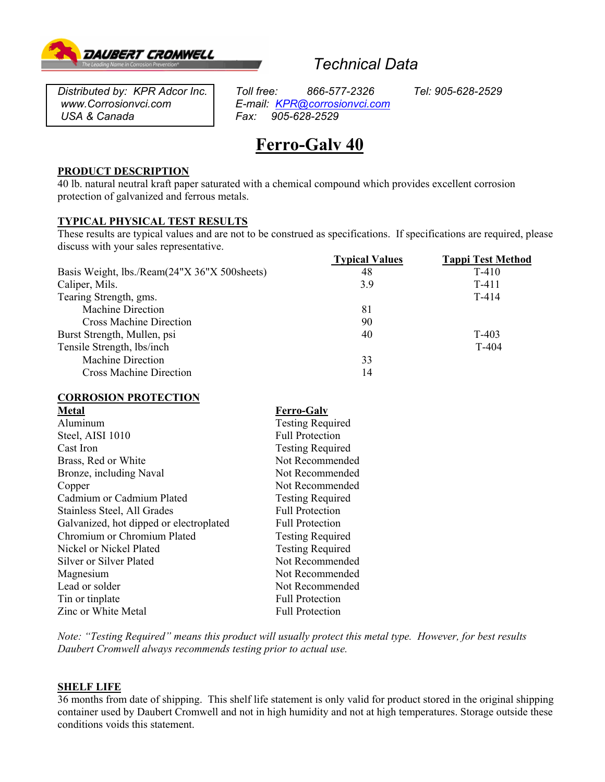

# *Technical Data*

*USA & Canada Pax: Fax: Fax:* 

*Distributed by: KPR Adcor Inc. Toll free: 866-577-2326 Tel: 905-628-2529 www.Corrosionvci.com E-mail: KPR@corrosionvci.com*

# **Ferro-Galv 40**

## **PRODUCT DESCRIPTION**

40 lb. natural neutral kraft paper saturated with a chemical compound which provides excellent corrosion protection of galvanized and ferrous metals.

# **TYPICAL PHYSICAL TEST RESULTS**

These results are typical values and are not to be construed as specifications. If specifications are required, please discuss with your sales representative.

|                                              | <b>Typical Values</b> | <b>Tappi Test Method</b> |
|----------------------------------------------|-----------------------|--------------------------|
| Basis Weight, lbs./Ream(24"X 36"X 500sheets) | 48                    | $T-410$                  |
| Caliper, Mils.                               | 3.9                   | T-411                    |
| Tearing Strength, gms.                       |                       | $T-414$                  |
| <b>Machine Direction</b>                     | 81                    |                          |
| <b>Cross Machine Direction</b>               | 90                    |                          |
| Burst Strength, Mullen, psi                  | 40                    | $T-403$                  |
| Tensile Strength, lbs/inch                   |                       | T-404                    |
| <b>Machine Direction</b>                     | 33                    |                          |
| <b>Cross Machine Direction</b>               | 14                    |                          |

## **CORROSION PROTECTION**

| <b>Metal</b>                            | <b>Ferro-Galv</b>       |  |
|-----------------------------------------|-------------------------|--|
| Aluminum                                | <b>Testing Required</b> |  |
| Steel, AISI 1010                        | <b>Full Protection</b>  |  |
| Cast Iron                               | <b>Testing Required</b> |  |
| Brass, Red or White                     | Not Recommended         |  |
| Bronze, including Naval                 | Not Recommended         |  |
| Copper                                  | Not Recommended         |  |
| Cadmium or Cadmium Plated               | <b>Testing Required</b> |  |
| Stainless Steel, All Grades             | <b>Full Protection</b>  |  |
| Galvanized, hot dipped or electroplated | <b>Full Protection</b>  |  |
| Chromium or Chromium Plated             | <b>Testing Required</b> |  |
| Nickel or Nickel Plated                 | <b>Testing Required</b> |  |
| Silver or Silver Plated                 | Not Recommended         |  |
| Magnesium                               | Not Recommended         |  |
| Lead or solder                          | Not Recommended         |  |
| Tin or tinplate                         | <b>Full Protection</b>  |  |
| Zinc or White Metal                     | <b>Full Protection</b>  |  |
|                                         |                         |  |

*Note: "Testing Required" means this product will usually protect this metal type. However, for best results Daubert Cromwell always recommends testing prior to actual use.* 

#### **SHELF LIFE**

36 months from date of shipping. This shelf life statement is only valid for product stored in the original shipping container used by Daubert Cromwell and not in high humidity and not at high temperatures. Storage outside these conditions voids this statement.